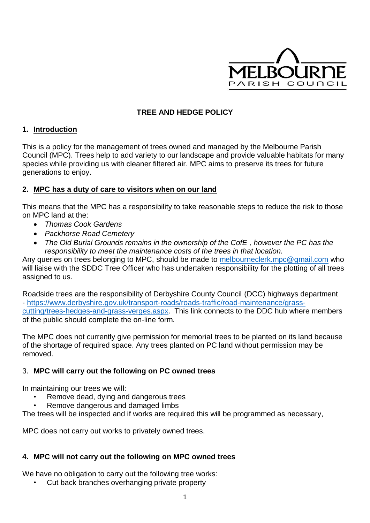

# **TREE AND HEDGE POLICY**

### **1. Introduction**

This is a policy for the management of trees owned and managed by the Melbourne Parish Council (MPC). Trees help to add variety to our landscape and provide valuable habitats for many species while providing us with cleaner filtered air. MPC aims to preserve its trees for future generations to enjoy.

### **2. MPC has a duty of care to visitors when on our land**

This means that the MPC has a responsibility to take reasonable steps to reduce the risk to those on MPC land at the:

- *Thomas Cook Gardens*
- *Packhorse Road Cemetery*
- *The Old Burial Grounds remains in the ownership of the CofE , however the PC has the responsibility to meet the maintenance costs of the trees in that location.*

Any queries on trees belonging to MPC, should be made to [melbourneclerk.mpc@gmail.com](mailto:melbourneclerk.mpc@gmail.com) who will liaise with the SDDC Tree Officer who has undertaken responsibility for the plotting of all trees assigned to us.

Roadside trees are the responsibility of Derbyshire County Council (DCC) highways department - [https://www.derbyshire.gov.uk/transport-roads/roads-traffic/road-maintenance/grass](https://www.derbyshire.gov.uk/transport-roads/roads-traffic/road-maintenance/grass-cutting/trees-hedges-and-grass-verges.aspx)[cutting/trees-hedges-and-grass-verges.aspx.](https://www.derbyshire.gov.uk/transport-roads/roads-traffic/road-maintenance/grass-cutting/trees-hedges-and-grass-verges.aspx) This link connects to the DDC hub where members of the public should complete the on-line form.

The MPC does not currently give permission for memorial trees to be planted on its land because of the shortage of required space. Any trees planted on PC land without permission may be removed.

#### 3. **MPC will carry out the following on PC owned trees**

In maintaining our trees we will:

- Remove dead, dying and dangerous trees
- Remove dangerous and damaged limbs

The trees will be inspected and if works are required this will be programmed as necessary,

MPC does not carry out works to privately owned trees.

#### **4. MPC will not carry out the following on MPC owned trees**

We have no obligation to carry out the following tree works:

• Cut back branches overhanging private property